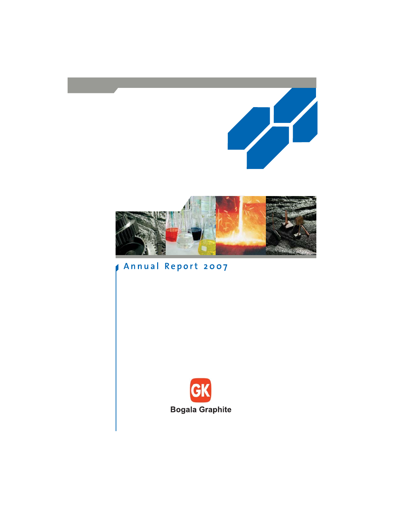

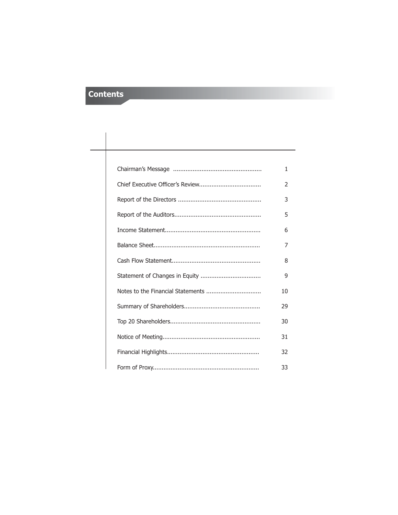# **Contents**

| 1             |
|---------------|
| $\mathcal{P}$ |
| 3             |
| 5             |
| 6             |
| 7             |
| 8             |
| 9             |
| 10            |
| 29            |
| 30            |
| 31            |
| 32            |
| 33            |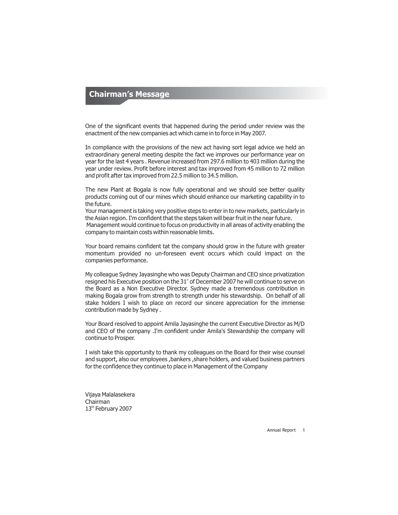## **Chairman's Message**

One of the significant events that happened during the period under review was the enactment of the new companies act which came in to force in May 2007.

In compliance with the provisions of the new act having sort legal advice we held an extraordinary general meeting despite the fact we improves our performance year on year for the last 4 years . Revenue increased from 297.6 million to 403 million during the year under review. Profit before interest and tax improved from 45 million to 72 million and profit after tax improved from 22.5 million to 34.5 million.

The new Plant at Bogala is now fully operational and we should see better quality products coming out of our mines which should enhance our marketing capability in to the future.

Your management is taking very positive steps to enter in to new markets, particularly in the Asian region. I'm confident that the steps taken will bear fruit in the near future.

Management would continue to focus on productivity in all areas of activity enabling the company to maintain costs within reasonable limits.

Your board remains confident tat the company should grow in the future with greater momentum provided no un-foreseen event occurs which could impact on the companies performance.

My colleague Sydney Jayasinghe who was Deputy Chairman and CEO since privatization resigned his Executive position on the 31<sup>\*</sup> of December 2007 he will continue to serve on the Board as a Non Executive Director. Sydney made a tremendous contribution in making Bogala grow from strength to strength under his stewardship. On behalf of all stake holders I wish to place on record our sincere appreciation for the immense contribution made by Sydney .

Your Board resolved to appoint Amila Jayasinghe the current Executive Director as M/D and CEO of the company .I'm confident under Amila's Stewardship the company will continue to Prosper.

I wish take this opportunity to thank my colleagues on the Board for their wise counsel and support, also our employees ,bankers ,share holders, and valued business partners for the confidence they continue to place in Management of the Company

Vijaya Malalasekera Chairman 13<sup>th</sup> February 2007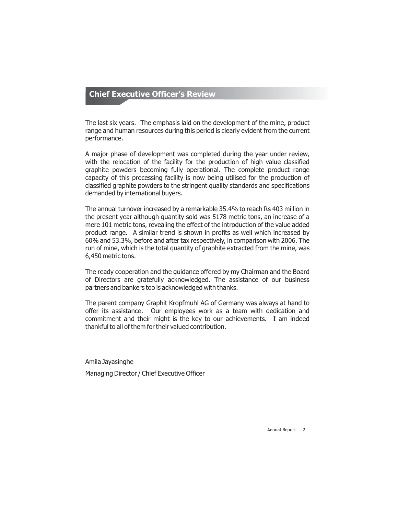## **Chief Executive Officer's Review**

The last six years. The emphasis laid on the development of the mine, product range and human resources during this period is clearly evident from the current performance.

A major phase of development was completed during the year under review, with the relocation of the facility for the production of high value classified graphite powders becoming fully operational. The complete product range capacity of this processing facility is now being utilised for the production of classified graphite powders to the stringent quality standards and specifications demanded by international buyers.

The annual turnover increased by a remarkable 35.4% to reach Rs 403 million in the present year although quantity sold was 5178 metric tons, an increase of a mere 101 metric tons, revealing the effect of the introduction of the value added product range. A similar trend is shown in profits as well which increased by 60% and 53.3%, before and after tax respectively, in comparison with 2006. The run of mine, which is the total quantity of graphite extracted from the mine, was 6,450 metric tons.

The ready cooperation and the guidance offered by my Chairman and the Board of Directors are gratefully acknowledged. The assistance of our business partners and bankers too is acknowledged with thanks.

The parent company Graphit Kropfmuhl AG of Germany was always at hand to offer its assistance. Our employees work as a team with dedication and commitment and their might is the key to our achievements. I am indeed thankful to all of them for their valued contribution.

Amila Jayasinghe Managing Director / Chief Executive Officer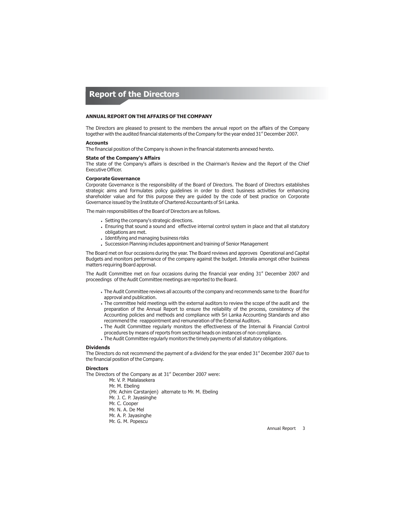## **Report of the Directors**

#### **ANNUAL REPORT ON THE AFFAIRS OF THE COMPANY**

The Directors are pleased to present to the members the annual report on the affairs of the Company together with the audited financial statements of the Company for the year ended 31 $^{\text{\tiny th}}$  December 2007.

### **Accounts**

The financial position of the Company is shown in the financial statements annexed hereto.

#### **State of the Company's Affairs**

The state of the Company's affairs is described in the Chairman's Review and the Report of the Chief Executive Officer.

#### **Corporate Governance**

Corporate Governance is the responsibility of the Board of Directors. The Board of Directors establishes strategic aims and formulates policy guidelines in order to direct business activities for enhancing shareholder value and for this purpose they are guided by the code of best practice on Corporate Governance issued by the Institute of Chartered Accountants of Sri Lanka.

The main responsibilities of the Board of Directors are as follows.

- Setting the company's strategic directions.
- Ensuring that sound a sound and effective internal control system in place and that all statutory obligations are met.
- Identifying and managing business risks
- Succession Planning includes appointment and training of Senior Management

The Board met on four occasions during the year. The Board reviews and approves Operational and Capital Budgets and monitors performance of the company against the budget. Interalia amongst other business matters requiring Board approval.

The Audit Committee met on four occasions during the financial year ending  $31<sup>st</sup>$  December 2007 and proceedings of the Audit Committee meetings are reported to the Board.

- The Audit Committee reviews all accounts of the company and recommends same to the Board for approval and publication.
- . The committee held meetings with the external auditors to review the scope of the audit and the preparation of the Annual Report to ensure the reliability of the process, consistency of the Accounting policies and methods and compliance with Sri Lanka Accounting Standards and also recommend the reappointment and remuneration of the External Auditors.
- The Audit Committee regularly monitors the effectiveness of the Internal & Financial Control procedures by means of reports from sectional heads on instances of non compliance.
- The Audit Committee regularly monitors the timely payments of all statutory obligations.

#### **Dividends**

The Directors do not recommend the payment of a dividend for the year ended 31<sup>st</sup> December 2007 due to the financial position of the Company.

#### **Directors**

The Directors of the Company as at  $31<sup>*</sup>$  December 2007 were:

Mr. V. P. Malalasekera Mr. M. Ebeling (Mr. Achim Carstanjen) alternate to Mr. M. Ebeling Mr. J. C. P. Jayasinghe Mr. C. Cooper Mr. N. A. De Mel Mr. A. P. Jayasinghe Mr. G. M. Popescu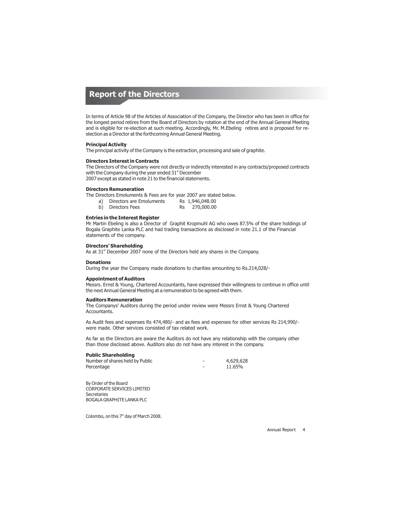## **Report of the Directors**

In terms of Article 98 of the Articles of Association of the Company, the Director who has been in office for the longest period retires from the Board of Directors by rotation at the end of the Annual General Meeting and is eligible for re-election at such meeting. Accordingly, Mr. M.Ebeling retires and is proposed for reelection as a Director at the forthcoming Annual General Meeting.

### **Principal Activity**

The principal activity of the Company is the extraction, processing and sale of graphite.

### **Directors Interest in Contracts**

The Directors of the Company were not directly or indirectly interested in any contracts/proposed contracts with the Company during the year ended  $31<sup>st</sup>$  December 2007 except as stated in note 21 to the financial statements.

#### **Directors Remuneration**

The Directors Emoluments & Fees are for year 2007 are stated below.

| a) | Directors are Emoluments |    | Rs 1,946,048.00 |
|----|--------------------------|----|-----------------|
| b) | Directors Fees           | Rs | 270,000.00      |

#### **Entries in the Interest Register**

Mr Martin Ebeling is also a Director of Graphit Kropmuhl AG who owes 87.5% of the share holdings of Bogala Graphite Lanka PLC and had trading transactions as disclosed in note 21.1 of the Financial statements of the company.

### **Directors' Shareholding**

As at  $31<sup>*</sup>$  December 2007 none of the Directors held any shares in the Company.

#### **Donations**

During the year the Company made donations to charities amounting to Rs.214,028/-

### **Appointment of Auditors**

Messrs. Ernst & Young, Chartered Accountants, have expressed their willingness to continue in office until the next Annual General Meeting at a remuneration to be agreed with them.

#### **Auditors Remuneration**

The Companys' Auditors during the period under review were Messrs Ernst & Young Chartered **Accountants** 

As Audit fees and expenses Rs 474,480/- and as fees and expenses for other services Rs 214,990/ were made. Other services consisted of tax related work.

As far as the Directors are aware the Auditors do not have any relationship with the company other than those disclosed above. Auditors also do not have any interest in the company.

#### **Public Shareholding**

| Number of shares held by Public | 4,629,628 |
|---------------------------------|-----------|
| Percentage                      | 11.65%    |

By Order of the Board CORPORATE SERVICES LIMITED **Secretaries** BOGALA GRAPHITE LANKA PLC

Colombo, on this 7<sup>th</sup> day of March 2008.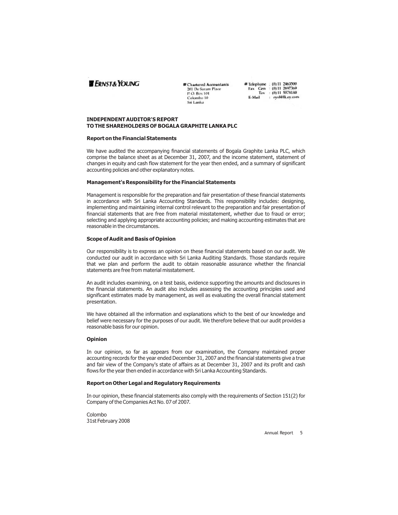## **ERNST&YOUNG**

#### Chartered Accountants 201 De Saram Place P.O. Box 101<br>Colombo 10 Sri Lanka

**# Telephone** : {0} 11 2463090<br>Fax Gen : {0} 11 2697369<br>Tax : {0} 11 5578180 E-Mail : cysl@lk.cy.com

### **INDEPENDENT AUDITOR'S REPORT TO THE SHAREHOLDERS OF BOGALA GRAPHITE LANKA PLC**

#### **Report on the Financial Statements**

We have audited the accompanying financial statements of Bogala Graphite Lanka PLC, which comprise the balance sheet as at December 31, 2007, and the income statement, statement of changes in equity and cash flow statement for the year then ended, and a summary of significant accounting policies and other explanatory notes.

### **Management's Responsibility for the Financial Statements**

Management is responsible for the preparation and fair presentation of these financial statements in accordance with Sri Lanka Accounting Standards. This responsibility includes: designing, implementing and maintaining internal control relevant to the preparation and fair presentation of financial statements that are free from material misstatement, whether due to fraud or error; selecting and applying appropriate accounting policies; and making accounting estimates that are reasonable in the circumstances.

### **Scope of Audit and Basis of Opinion**

Our responsibility is to express an opinion on these financial statements based on our audit. We conducted our audit in accordance with Sri Lanka Auditing Standards. Those standards require that we plan and perform the audit to obtain reasonable assurance whether the financial statements are free from material misstatement.

An audit includes examining, on a test basis, evidence supporting the amounts and disclosures in the financial statements. An audit also includes assessing the accounting principles used and significant estimates made by management, as well as evaluating the overall financial statement presentation.

We have obtained all the information and explanations which to the best of our knowledge and belief were necessary for the purposes of our audit. We therefore believe that our audit provides a reasonable basis for our opinion.

#### **Opinion**

In our opinion, so far as appears from our examination, the Company maintained proper accounting records for the year ended December 31, 2007 and the financial statements give a true and fair view of the Company's state of affairs as at December 31, 2007 and its profit and cash flows for the year then ended in accordance with Sri Lanka Accounting Standards.

### **Report on Other Legal and Regulatory Requirements**

In our opinion, these financial statements also comply with the requirements of Section 151(2) for Company of the Companies Act No. 07 of 2007.

Colombo 31st February 2008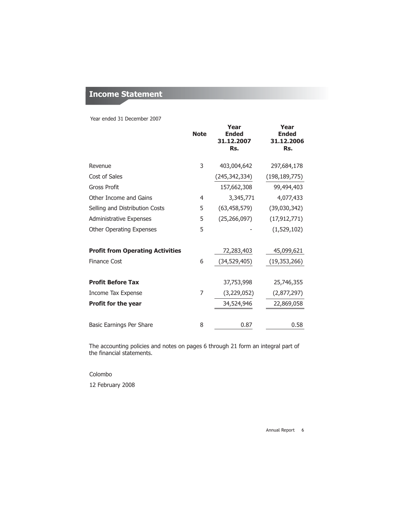## **Income Statement**

Year ended 31 December 2007

|                                         | <b>Note</b> | Year<br><b>Ended</b><br>31.12.2007<br>Rs. | Year<br><b>Ended</b><br>31.12.2006<br>Rs. |
|-----------------------------------------|-------------|-------------------------------------------|-------------------------------------------|
| Revenue                                 | 3           | 403,004,642                               | 297,684,178                               |
| Cost of Sales                           |             | (245, 342, 334)                           | (198, 189, 775)                           |
| <b>Gross Profit</b>                     |             | 157,662,308                               | 99,494,403                                |
| Other Income and Gains                  | 4           | 3,345,771                                 | 4,077,433                                 |
| Selling and Distribution Costs          | 5           | (63, 458, 579)                            | (39,030,342)                              |
| Administrative Expenses                 | 5           | (25, 266, 097)                            | (17, 912, 771)                            |
| <b>Other Operating Expenses</b>         | 5           |                                           | (1,529,102)                               |
| <b>Profit from Operating Activities</b> |             | 72,283,403                                | 45,099,621                                |
| <b>Finance Cost</b>                     | 6           | (34,529,405)                              | (19, 353, 266)                            |
| <b>Profit Before Tax</b>                |             | 37,753,998                                | 25,746,355                                |
| Income Tax Expense                      | 7           | (3,229,052)                               | (2,877,297)                               |
| <b>Profit for the year</b>              |             | 34,524,946                                | 22,869,058                                |
| Basic Earnings Per Share                | 8           | 0.87                                      | 0.58                                      |

The accounting policies and notes on pages 6 through 21 form an integral part of the financial statements.

## Colombo

12 February 2008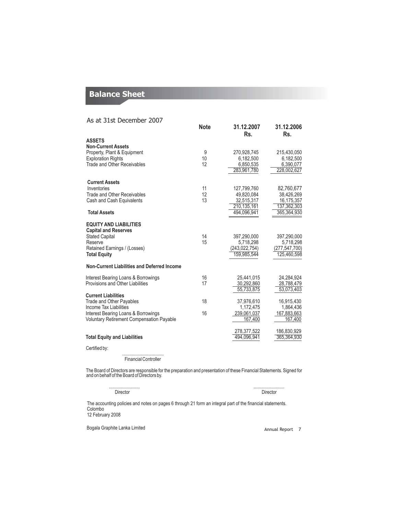## **Balance Sheet**

| As at 31st December 2007                             |                 |                          |                          |
|------------------------------------------------------|-----------------|--------------------------|--------------------------|
|                                                      | <b>Note</b>     | 31.12.2007<br>Rs.        | 31.12.2006<br>Rs.        |
| <b>ASSETS</b>                                        |                 |                          |                          |
| <b>Non-Current Assets</b>                            |                 |                          |                          |
| Property, Plant & Equipment                          | 9               | 270,928,745              | 215,430,050              |
| <b>Exploration Rights</b>                            | 10 <sup>1</sup> | 6,182,500                | 6,182,500                |
| Trade and Other Receivables                          | 12              | 6,850,535                | 6,390,077                |
|                                                      |                 | 283,961,780              | 228,002,627              |
| <b>Current Assets</b>                                |                 |                          |                          |
| Inventories                                          | 11              | 127,799,760              | 82,760,677               |
| Trade and Other Receivables                          | 12              | 49,820,084               | 38,426,269               |
| Cash and Cash Equivalents                            | 13              | 32,515,317               | 16,175,357               |
|                                                      |                 | 210.135.161              | 137.362.303              |
| <b>Total Assets</b>                                  |                 | 494.096.941              | 365,364,930              |
| <b>EQUITY AND LIABILITIES</b>                        |                 |                          |                          |
| <b>Capital and Reserves</b><br><b>Stated Capital</b> | 14              |                          |                          |
| Reserve                                              | 15              | 397,290,000<br>5,718,298 | 397,290,000<br>5,718,298 |
| Retained Earnings / (Losses)                         |                 | (243, 022, 754)          | (277, 547, 700)          |
| <b>Total Equity</b>                                  |                 | 159,985,544              | 125,460,598              |
| Non-Current Liabilities and Deferred Income          |                 |                          |                          |
| Interest Bearing Loans & Borrowings                  | 16              | 25,441,015               | 24,284,924               |
| Provisions and Other Liabilities                     | 17              | 30,292,860               | 28,788,479               |
|                                                      |                 | 55,733,875               | 53,073,403               |
| <b>Current Liabilities</b>                           |                 |                          |                          |
| Trade and Other Payables<br>Income Tax Liabilities   | 18              | 37,976,610               | 16,915,430               |
| Interest Bearing Loans & Borrowings                  | 16              | 1,172,475<br>239,061,037 | 1,864,436<br>167,883,663 |
| <b>Voluntary Retirement Compensation Payable</b>     |                 | 167,400                  | 167,400                  |
|                                                      |                 |                          |                          |
|                                                      |                 | 278,377,522              | 186,830,929              |
| <b>Total Equity and Liabilities</b>                  |                 | 494,096,941              | 365,364,930              |
| Certified by:                                        |                 |                          |                          |

................................... Financial Controller

The Board of Directors are responsible for the preparation and presentation of these Financial Statements. Signed for and on behalf of the Board of Directors by.

Director Director

.......................... ..........................

The accounting policies and notes on pages 6 through 21 form an integral part of the financial statements. Colombo 12 February 2008

Bogala Graphite Lanka Limited Annual Report 7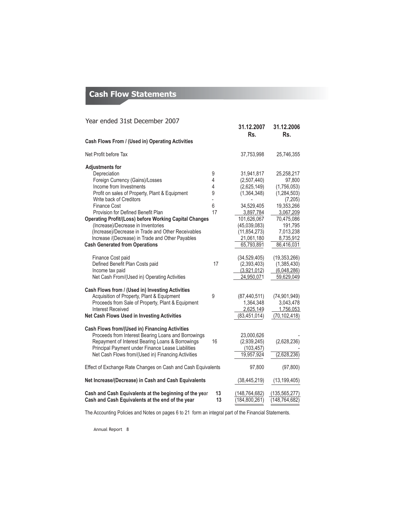# **Cash Flow Statements**

| Year ended 31st December 2007                                 |                |                   |                   |
|---------------------------------------------------------------|----------------|-------------------|-------------------|
|                                                               |                | 31.12.2007<br>Rs. | 31.12.2006<br>Rs. |
| Cash Flows From / (Used in) Operating Activities              |                |                   |                   |
| Net Profit before Tax                                         |                | 37,753,998        | 25,746,355        |
| <b>Adjustments for</b>                                        |                |                   |                   |
| Depreciation                                                  | 9              | 31,941,817        | 25,258,217        |
| Foreign Currency (Gains)/Losses                               | $\overline{4}$ | (2,507,440)       | 97,800            |
| Income from Investments                                       | 4              | (2,625,149)       | (1,756,053)       |
| Profit on sales of Property, Plant & Equipment                | 9              | (1,364,348)       | (1, 284, 503)     |
| Write back of Creditors                                       | $\overline{a}$ |                   | (7,205)           |
| <b>Finance Cost</b>                                           | 6              | 34,529,405        | 19,353,266        |
| Provision for Defined Benefit Plan                            | 17             | 3,897,784         | 3,067,209         |
| <b>Operating Profit/(Loss) before Working Capital Changes</b> |                | 101,626,067       | 70,475,086        |
| (Increase)/Decrease in Inventories                            |                | (45,039,083)      | 191,795           |
| (Increase)/Decrease in Trade and Other Receivables            |                | (11, 854, 273)    | 7,013,238         |
| Increase /(Decrease) in Trade and Other Payables              |                | 21,061,180        | 8,735,912         |
| <b>Cash Generated from Operations</b>                         |                | 65,793,891        | 86,416,031        |
|                                                               |                |                   |                   |
| Finance Cost paid                                             |                | (34, 529, 405)    | (19, 353, 266)    |
| Defined Benefit Plan Costs paid                               | 17             | (2,393,403)       | (1,385,430)       |
| Income tax paid                                               |                | (3,921,012)       | (6,048,286)       |
| Net Cash From/(Used in) Operating Activities                  |                | 24,950,071        | 59,629,049        |
|                                                               |                |                   |                   |
| Cash Flows from / (Used in) Investing Activities              |                |                   |                   |
| Acquisition of Property, Plant & Equipment                    | 9              | (87, 440, 511)    | (74, 901, 949)    |
| Proceeds from Sale of Property, Plant & Equipment             |                | 1,364,348         | 3,043,478         |
| Interest Received                                             |                | 2,625,149         | 1,756,053         |
| Net Cash Flows Used in Investing Activities                   |                | (83, 451, 014)    | (70, 102, 418)    |
|                                                               |                |                   |                   |
| <b>Cash Flows from/(Used in) Financing Activities</b>         |                |                   |                   |
| Proceeds from Interest Bearing Loans and Borrowings           |                | 23,000,626        |                   |
| Repayment of Interest Bearing Loans & Borrowings              | 16             | (2,939,245)       | (2,628,236)       |
| Principal Payment under Finance Lease Liabilities             |                | (103, 457)        |                   |
| Net Cash Flows from/(Used in) Financing Activities            |                | 19,957,924        | (2,628,236)       |
| Effect of Exchange Rate Changes on Cash and Cash Equivalents  |                | 97,800            | (97, 800)         |
| Net Increase/(Decrease) in Cash and Cash Equivalents          |                | (38, 445, 219)    | (13, 199, 405)    |
| Cash and Cash Equivalents at the beginning of the year        | 13             | (148, 764, 682)   | (135, 565, 277)   |
| Cash and Cash Equivalents at the end of the year              | 13             | (184, 800, 261)   | (148, 764, 682)   |

The Accounting Policies and Notes on pages 6 to 21 form an integral part of the Financial Statements.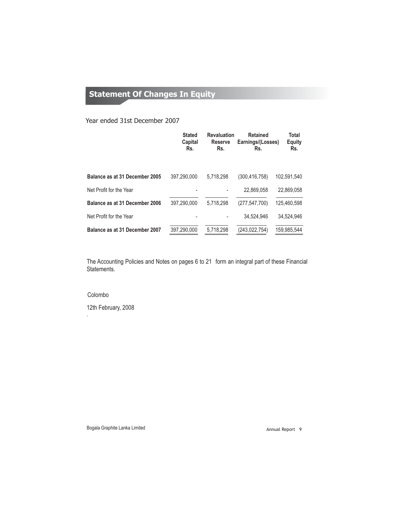# **Statement Of Changes In Equity**

## Year ended 31st December 2007

|                                | <b>Stated</b><br>Capital<br>Rs. | <b>Revaluation</b><br><b>Reserve</b><br>Rs. | <b>Retained</b><br>Earnings/(Losses)<br>Rs. | Total<br>Equity<br>Rs. |
|--------------------------------|---------------------------------|---------------------------------------------|---------------------------------------------|------------------------|
| Balance as at 31 December 2005 | 397.290.000                     | 5.718.298                                   | (300, 416, 758)                             | 102.591.540            |
| Net Profit for the Year        |                                 |                                             | 22.869.058                                  | 22.869.058             |
| Balance as at 31 December 2006 | 397.290.000                     | 5.718.298                                   | (277, 547, 700)                             | 125.460.598            |
| Net Profit for the Year        |                                 |                                             | 34.524.946                                  | 34.524.946             |
| Balance as at 31 December 2007 | 397,290,000                     | 5.718.298                                   | (243, 022, 754)                             | 159,985,544            |

The Accounting Policies and Notes on pages 6 to 21 form an integral part of these Financial Statements.

## Colombo

.

12th February, 2008

Bogala Graphite Lanka Limited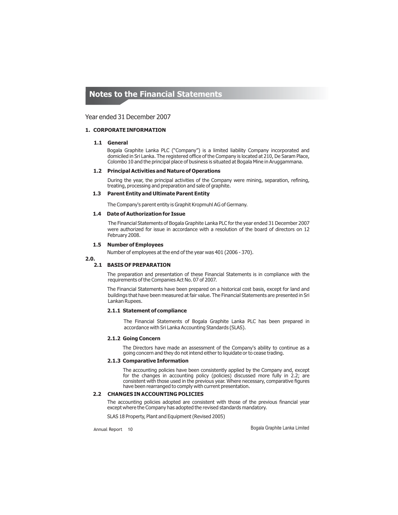### Year ended 31 December 2007

### **1. CORPORATE INFORMATION**

### **1.1 General**

Bogala Graphite Lanka PLC ("Company") is a limited liability Company incorporated and domiciled in Sri Lanka. The registered office of the Company is located at 210, De Saram Place, Colombo 10 and the principal place of business is situated at Bogala Mine in Aruggammana.

#### **1.2 Principal Activities and Nature of Operations**

During the year, the principal activities of the Company were mining, separation, refining, treating, processing and preparation and sale of graphite.

### **1.3 Parent Entity and Ultimate Parent Entity**

The Company's parent entity is Graphit Kropmuhl AG of Germany.

### **1.4 Date of Authorization for Issue**

The Financial Statements of Bogala Graphite Lanka PLC for the year ended 31 December 2007 were authorized for issue in accordance with a resolution of the board of directors on 12 February 2008.

#### **1.5 Number of Employees**

Number of employees at the end of the year was 401 (2006 - 370).

**2.0.**

### **2.1 BASIS OF PREPARATION**

The preparation and presentation of these Financial Statements is in compliance with the requirements of the Companies Act No. 07 of 2007.

The Financial Statements have been prepared on a historical cost basis, except for land and buildings that have been measured at fair value. The Financial Statements are presented in Sri Lankan Rupees.

## **2.1.1 Statement of compliance**

The Financial Statements of Bogala Graphite Lanka PLC has been prepared in accordance with Sri Lanka Accounting Standards (SLAS).

#### **2.1.2 Going Concern**

The Directors have made an assessment of the Company's ability to continue as a going concern and they do not intend either to liquidate or to cease trading.

### **2.1.3 Comparative Information**

The accounting policies have been consistently applied by the Company and, except for the changes in accounting policy (policies) discussed more fully in 2.2; are consistent with those used in the previous year. Where necessary, comparative figures have been rearranged to comply with current presentation.

### **2.2 CHANGES IN ACCOUNTING POLICIES**

The accounting policies adopted are consistent with those of the previous financial year except where the Company has adopted the revised standards mandatory.

SLAS 18 Property, Plant and Equipment (Revised 2005)

Annual Report 10

Bogala Graphite Lanka Limited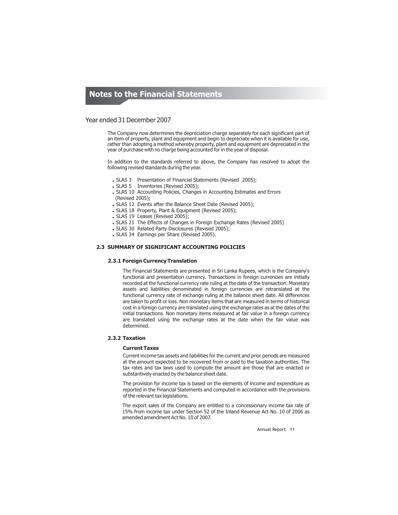### Year ended 31 December 2007

The Company now determines the depreciation charge separately for each significant part of an item of property, plant and equipment and begin to depreciate when it is available for use, rather than adopting a method whereby property, plant and equipment are depreciated in the year of purchase with no charge being accounted for in the year of disposal.

In addition to the standards referred to above, the Company has resolved to adopt the following revised standards during the year.

- SLAS 3 Presentation of Financial Statements (Revised 2005);
- SLAS 5 Inventories (Revised 2005);
- SLAS 10 Accounting Policies, Changes in Accounting Estimates and Errors
- (Revised 2005);
- SLAS 12 Events after the Balance Sheet Date (Revised 2005);
- SLAS 18 Property, Plant & Equipment (Revised 2005);
- SLAS 19 Leases (Revised 2005);
- SLAS 21 The Effects of Changes in Foreign Exchange Rates (Revised 2005)
- SLAS 30 Related Party Disclosures (Revised 2005);
- SLAS 34 Earnings per Share (Revised 2005).

## **2.3 SUMMARY OF SIGNIFICANT ACCOUNTING POLICIES**

### **2.3.1 Foreign Currency Translation**

The Financial Statements are presented in Sri Lanka Rupees, which is the Company's functional and presentation currency. Transactions in foreign currencies are initially recorded at the functional currency rate ruling at the date of the transaction. Monetary assets and liabilities denominated in foreign currencies are retranslated at the functional currency rate of exchange ruling at the balance sheet date. All differences are taken to profit or loss. Non monetary items that are measured in terms of historical cost in a foreign currency are translated using the exchange rates as at the dates of the initial transactions. Non monetary items measured at fair value in a foreign currency are translated using the exchange rates at the date when the fair value was determined.

#### **2.3.2 Taxation**

#### **Current Taxes**

Current income tax assets and liabilities for the current and prior periods are measured at the amount expected to be recovered from or paid to the taxation authorities. The tax rates and tax laws used to compute the amount are those that are enacted or substantively enacted by the balance sheet date.

The provision for income tax is based on the elements of income and expenditure as reported in the Financial Statements and computed in accordance with the provisions of the relevant tax legislations .

The export sales of the Company are entitled to a concessionary income tax rate of 15% from income tax under Section 52 of the Inland Revenue Act No. 10 of 2006 as amended amendment Act No. 10 of 2007.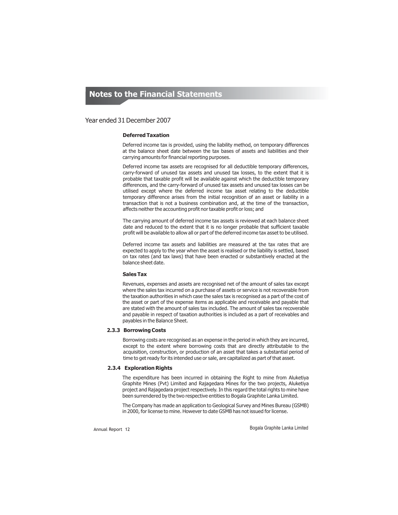## Year ended 31 December 2007

## **Deferred Taxation**

Deferred income tax is provided, using the liability method, on temporary differences at the balance sheet date between the tax bases of assets and liabilities and their carrying amounts for financial reporting purposes.

Deferred income tax assets are recognised for all deductible temporary differences, carry-forward of unused tax assets and unused tax losses, to the extent that it is probable that taxable profit will be available against which the deductible temporary differences, and the carry-forward of unused tax assets and unused tax losses can be utilised except where the deferred income tax asset relating to the deductible temporary difference arises from the initial recognition of an asset or liability in a transaction that is not a business combination and, at the time of the transaction, affects neither the accounting profit nor taxable profit or loss; and

The carrying amount of deferred income tax assets is reviewed at each balance sheet date and reduced to the extent that it is no longer probable that sufficient taxable profit will be available to allow all or part of the deferred income tax asset to be utilised.

Deferred income tax assets and liabilities are measured at the tax rates that are expected to apply to the year when the asset is realised or the liability is settled, based on tax rates (and tax laws) that have been enacted or substantively enacted at the balance sheet date.

#### **Sales Tax**

Revenues, expenses and assets are recognised net of the amount of sales tax except where the sales tax incurred on a purchase of assets or service is not recoverable from the taxation authorities in which case the sales tax is recognised as a part of the cost of the asset or part of the expense items as applicable and receivable and payable that are stated with the amount of sales tax included. The amount of sales tax recoverable and payable in respect of taxation authorities is included as a part of receivables and payables in the Balance Sheet.

### **2.3.3 Borrowing Costs**

Borrowing costs are recognised as an expense in the period in which they are incurred, except to the extent where borrowing costs that are directly attributable to the acquisition, construction, or production of an asset that takes a substantial period of time to get ready for its intended use or sale, are capitalized as part of that asset.

## **2.3.4 Exploration Rights**

The expenditure has been incurred in obtaining the Right to mine from Aluketiya Graphite Mines (Pvt) Limited and Rajagedara Mines for the two projects, Aluketiya project and Rajagedara project respectively. In this regard the total rights to mine have been surrendered by the two respective entities to Bogala Graphite Lanka Limited.

The Company has made an application to Geological Survey and Mines Bureau (GSMB) in 2000, for license to mine. However to date GSMB has not issued for license.

Annual Report 12 **Bogala Graphite Lanka Limited**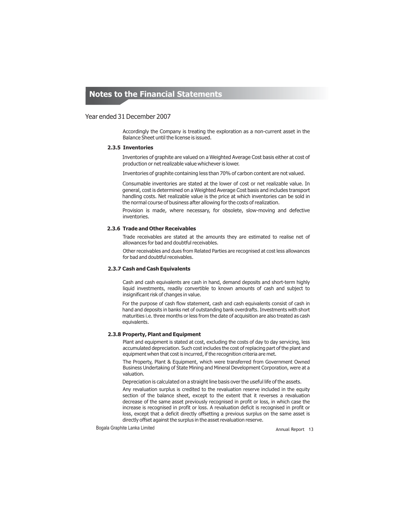### Year ended 31 December 2007

Accordingly the Company is treating the exploration as a non-current asset in the Balance Sheet until the license is issued.

#### **2.3.5 Inventories**

Inventories of graphite are valued on a Weighted Average Cost basis either at cost of production or net realizable value whichever is lower.

Inventories of graphite containing less than 70% of carbon content are not valued.

Consumable inventories are stated at the lower of cost or net realizable value. In general, cost is determined on a Weighted Average Cost basis and includes transport handling costs. Net realizable value is the price at which inventories can be sold in the normal course of business after allowing for the costs of realization.

Provision is made, where necessary, for obsolete, slow-moving and defective inventories.

### **2.3.6 Trade and Other Receivables**

Trade receivables are stated at the amounts they are estimated to realise net of allowances for bad and doubtful receivables.

Other receivables and dues from Related Parties are recognised at cost less allowances for bad and doubtful receivables.

### **2.3.7 Cash and Cash Equivalents**

Cash and cash equivalents are cash in hand, demand deposits and short-term highly liquid investments, readily convertible to known amounts of cash and subject to insignificant risk of changes in value.

For the purpose of cash flow statement, cash and cash equivalents consist of cash in hand and deposits in banks net of outstanding bank overdrafts. Investments with short maturities i.e. three months or less from the date of acquisition are also treated as cash equivalents.

### **2.3.8 Property, Plant and Equipment**

Plant and equipment is stated at cost, excluding the costs of day to day servicing, less accumulated depreciation. Such cost includes the cost of replacing part of the plant and equipment when that cost is incurred, if the recognition criteria are met.

The Property, Plant & Equipment, which were transferred from Government Owned Business Undertaking of State Mining and Mineral Development Corporation, were at a valuation.

Depreciation is calculated on a straight line basis over the useful life of the assets.

Any revaluation surplus is credited to the revaluation reserve included in the equity section of the balance sheet, except to the extent that it reverses a revaluation decrease of the same asset previously recognised in profit or loss, in which case the increase is recognised in profit or loss. A revaluation deficit is recognised in profit or loss, except that a deficit directly offsetting a previous surplus on the same asset is directly offset against the surplus in the asset revaluation reserve.

Bogala Graphite Lanka Limited **Annual Report 13** Annual Report 13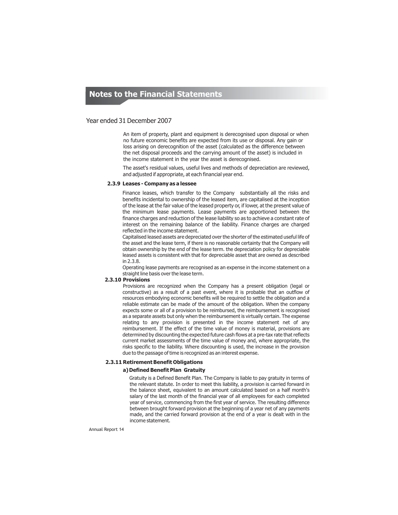## Year ended 31 December 2007

An item of property, plant and equipment is derecognised upon disposal or when no future economic benefits are expected from its use or disposal. Any gain or loss arising on derecognition of the asset (calculated as the difference between the net disposal proceeds and the carrying amount of the asset) is included in the income statement in the year the asset is derecognised.

The asset's residual values, useful lives and methods of depreciation are reviewed, and adjusted if appropriate, at each financial year end.

#### **2.3.9 Leases - Company as a lessee**

Finance leases, which transfer to the Company substantially all the risks and benefits incidental to ownership of the leased item, are capitalised at the inception of the lease at the fair value of the leased property or, if lower, at the present value of the minimum lease payments. Lease payments are apportioned between the finance charges and reduction of the lease liability so as to achieve a constant rate of interest on the remaining balance of the liability. Finance charges are charged reflected in the income statement.

Capitalised leased assets are depreciated over the shorter of the estimated useful life of the asset and the lease term, if there is no reasonable certainty that the Company will obtain ownership by the end of the lease term. the depreciation policy for depreciable leased assets is consistent with that for depreciable asset that are owned as described in 2.3.8.

Operating lease payments are recognised as an expense in the income statement on a straight line basis over the lease term.

## **2.3.10 Provisions**

Provisions are recognized when the Company has a present obligation (legal or constructive) as a result of a past event, where it is probable that an outflow of resources embodying economic benefits will be required to settle the obligation and a reliable estimate can be made of the amount of the obligation. When the company expects some or all of a provision to be reimbursed, the reimbursement is recognised as a separate assets but only when the reimbursement is virtually certain. The expense relating to any provision is presented in the income statement net of any reimbursement. If the effect of the time value of money is material, provisions are determined by discounting the expected future cash flows at a pre-tax rate that reflects current market assessments of the time value of money and, where appropriate, the risks specific to the liability. Where discounting is used, the increase in the provision due to the passage of time is recognized as an interest expense.

#### **2.3.11 Retirement Benefit Obligations**

#### **a)Defined Benefit Plan Gratuity**

Gratuity is a Defined Benefit Plan. The Company is liable to pay gratuity in terms of the relevant statute. In order to meet this liability, a provision is carried forward in the balance sheet, equivalent to an amount calculated based on a half month's salary of the last month of the financial year of all employees for each completed year of service, commencing from the first year of service. The resulting difference between brought forward provision at the beginning of a year net of any payments made, and the carried forward provision at the end of a year is dealt with in the income statement.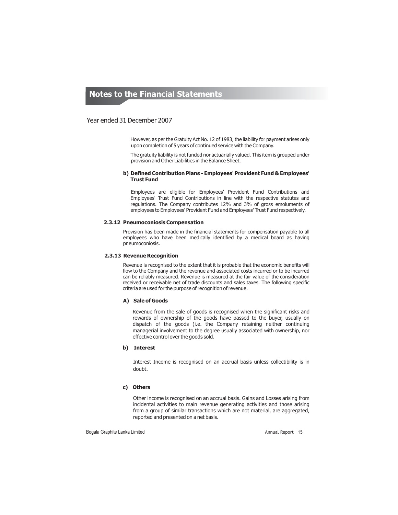## Year ended 31 December 2007

However, as per the Gratuity Act No. 12 of 1983, the liability for payment arises only upon completion of 5 years of continued service with the Company.

The gratuity liability is not funded nor actuarially valued. This item is grouped under provision and Other Liabilities in the Balance Sheet.

### **b) Defined Contribution Plans - Employees' Provident Fund & Employees' Trust Fund**

Employees are eligible for Employees' Provident Fund Contributions and Employees' Trust Fund Contributions in line with the respective statutes and regulations. The Company contributes 12% and 3% of gross emoluments of employees to Employees' Provident Fund and Employees' Trust Fund respectively.

#### **2.3.12 Pneumoconiosis Compensation**

Provision has been made in the financial statements for compensation payable to all employees who have been medically identified by a medical board as having pneumoconiosis.

#### **2.3.13 Revenue Recognition**

Revenue is recognised to the extent that it is probable that the economic benefits will flow to the Company and the revenue and associated costs incurred or to be incurred can be reliably measured. Revenue is measured at the fair value of the consideration received or receivable net of trade discounts and sales taxes. The following specific criteria are used for the purpose of recognition of revenue.

#### **A) Sale of Goods**

Revenue from the sale of goods is recognised when the significant risks and rewards of ownership of the goods have passed to the buyer, usually on dispatch of the goods (i.e. the Company retaining neither continuing managerial involvement to the degree usually associated with ownership, nor effective control over the goods sold.

### **b) Interest**

Interest Income is recognised on an accrual basis unless collectibility is in doubt.

## **c) Others**

Other income is recognised on an accrual basis. Gains and Losses arising from incidental activities to main revenue generating activities and those arising from a group of similar transactions which are not material, are aggregated, reported and presented on a net basis.

Bogala Graphite Lanka Limited **Annual Report 15** annual Report 15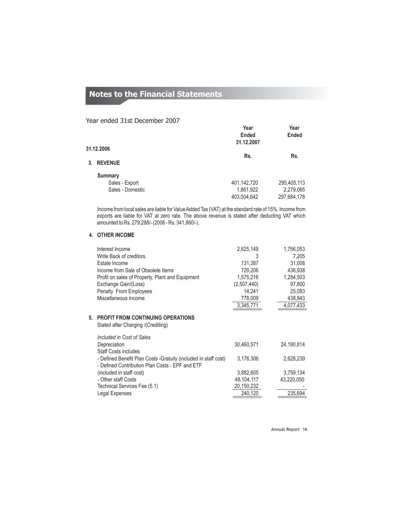## Year ended 31st December 2007

|                                                      | Year<br>Ended<br>31.12.2007 | Year<br><b>Ended</b>     |
|------------------------------------------------------|-----------------------------|--------------------------|
| 31.12.2006                                           |                             |                          |
| 3. REVENUE                                           | Rs.                         | Rs.                      |
| <b>Summary</b><br>Sales - Export<br>Sales - Domestic | 401,142,720<br>1,861,922    | 295,405,113<br>2,279,065 |
|                                                      | 403,004,642                 | 297,684,178              |

Income from local sales are liable for Value Added Tax (VAT) at the standard rate of 15%. Income from exports are liable for VAT at zero rate. The above revenue is stated after deducting VAT which amounted to Rs. 279,288/- (2006 - Rs. 341,860/-).

## **4. OTHER INCOME**

| 2,625,149   | 1,756,053 |
|-------------|-----------|
| 3           | 7.205     |
| 131.387     | 31,008    |
| 729.206     | 436.938   |
| 1,575,216   | 1,284,503 |
| (2,507,440) | 97,800    |
| 14.241      | 25,083    |
| 778,009     | 438,843   |
| 3.345.771   | 4,077,433 |
|             |           |

### **5. PROFIT FROM CONTINUING OPERATIONS**

Stated after Charging /(Crediting)

| Included in Cost of Sales                                        |            |            |
|------------------------------------------------------------------|------------|------------|
| Depreciation                                                     | 30,460,571 | 24,190,814 |
| <b>Staff Costs includes</b>                                      |            |            |
| - Defined Benefit Plan Costs - Gratuity (included in staff cost) | 3,176,306  | 2,628,239  |
| - Defined Contribution Plan Costs - EPF and ETF                  |            |            |
| (included in staff cost)                                         | 3,882,605  | 3,759,134  |
| - Other staff Costs                                              | 48.104.117 | 43.220.050 |
| Technical Services Fee (5.1)                                     | 20,150,232 |            |
| Legal Expenses                                                   | 240,120    | 235.694    |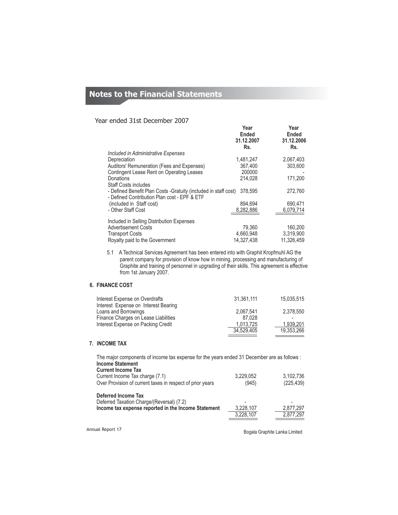## Year ended 31st December 2007

|                                                                  | Year<br>Ended<br>31.12.2007<br>Rs. | Year<br>Ended<br>31.12.2006<br>Rs. |
|------------------------------------------------------------------|------------------------------------|------------------------------------|
| Included in Administrative Expenses                              |                                    |                                    |
| Depreciation                                                     | 1,481,247                          | 2.067.403                          |
| Auditors' Remuneration (Fees and Expenses)                       | 367.400                            | 303,600                            |
| Contingent Lease Rent on Operating Leases                        | 200000                             |                                    |
| Donations                                                        | 214,028                            | 171,200                            |
| <b>Staff Costs includes</b>                                      |                                    |                                    |
| - Defined Benefit Plan Costs - Gratuity (included in staff cost) | 378,595                            | 272,760                            |
| - Defined Contribution Plan cost - EPF & ETF                     |                                    |                                    |
| (included in Staff cost)                                         | 894,694                            | 690,471                            |
| - Other Staff Cost                                               | 8,282,886                          | 6,079,714                          |
| Included in Selling Distribution Expenses                        |                                    |                                    |
| <b>Advertisement Costs</b>                                       | 79,360                             | 160,200                            |
| <b>Transport Costs</b>                                           | 4,660,948                          | 3,319,900                          |
| Royalty paid to the Government                                   | 14.327.438                         | 11.326.459                         |
|                                                                  |                                    |                                    |

5.1 A Technical Services Agreement has been entered into with Graphit Kropfmuhl AG the parent company for provision of know how in mining, processing and manufacturing of Graphite and training of personnel in upgrading of their skills. This agreement is effective from 1st January 2007.

## **6. FINANCE COST**

| Interest Expense on Overdrafts<br>Interest Expense on Interest Bearing | 31.361.111 | 15.035.515 |
|------------------------------------------------------------------------|------------|------------|
| Loans and Borrowings                                                   | 2.067.541  | 2.378.550  |
| Finance Charges on Lease Liabilities                                   | 87.028     |            |
| Interest Expense on Packing Credit                                     | 1.013.725  | 1.939.201  |
|                                                                        | 34.529.405 | 19.353.266 |

## **7. INCOME TAX**

| The major components of income tax expense for the years ended 31 December are as follows : |                        |                        |  |  |  |
|---------------------------------------------------------------------------------------------|------------------------|------------------------|--|--|--|
| <b>Income Statement</b>                                                                     |                        |                        |  |  |  |
| <b>Current Income Tax</b>                                                                   |                        |                        |  |  |  |
| Current Income Tax charge (7.1)                                                             | 3,229,052              | 3.102.736              |  |  |  |
| Over Provision of current taxes in respect of prior years                                   | (945)                  | (225, 439)             |  |  |  |
| <b>Deferred Income Tax</b>                                                                  |                        |                        |  |  |  |
| Deferred Taxation Charge/(Reversal) (7.2)                                                   |                        |                        |  |  |  |
| Income tax expense reported in the Income Statement                                         | 3,228,107<br>3,228,107 | 2,877,297<br>2.877.297 |  |  |  |

Annual Report 17

Bogala Graphite Lanka Limited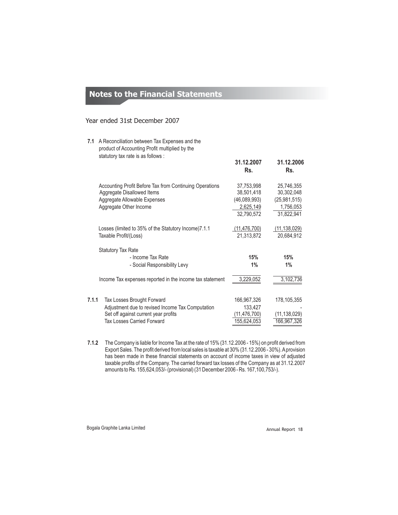## Year ended 31st December 2007

- **7.1** A Reconciliation between Tax Expenses and the **7.1.1** Tax Losses Brought Forward product of Accounting Profit multiplied by the Accounting Profit Before Tax from Continuing Operations Aggregate Allowable Expenses Aggregate Other Income Losses (limited to 35% of the Statutory Income)7.1.1 Taxable Profit/(Loss) Income Tax expenses reported in the income tax statement Adjustment due to revised Income Tax Computation 133,427<br>Set off against current year profits (11,476,700) Set off against current year profits 37,753,998 25,746,355 Aggregate Disallowed Items (46,089,993) (25,981,515) 2,625,149<br>32,790,572 1,756,053<br>31,822,941 31,822,941 (11,476,700) (11,138,029) 21,313,872 20,684,912 Statutory Tax Rate - Income Tax Rate - Social Responsibility Levy 3,229,052 3,102,736 133,427 (11,138,029) Tax Losses Carried Forward 155,624,053 166,967,326 **15% 15% 1% 1%** 166,967,326 178,105,355 statutory tax rate is as follows : **31.12.2007 31.12.2006 Rs. Rs.**
- **7.1.2** The Company is liable for Income Tax at the rate of 15% (31.12.2006 15%) on profit derived from Export Sales. The profit derived from local sales is taxable at 30% (31.12.2006 - 30%). A provision has been made in these financial statements on account of income taxes in view of adjusted taxable profits of the Company. The carried forward tax losses of the Company as at 31.12.2007 amounts to Rs. 155,624,053/- (provisional) (31 December 2006 - Rs. 167,100,753/-).

Bogala Graphite Lanka Limited **Annual Report 18**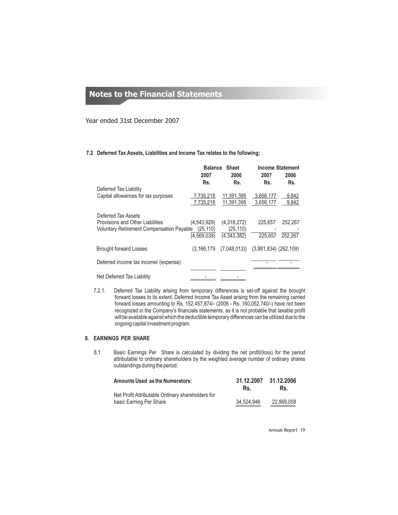Year ended 31st December 2007

**7.2 Deferred Tax Assets, Liabilities and Income Tax relates to the following;**

|                                                                                                             | <b>Balance</b><br>2007                  | <b>Sheet</b><br>2006                    | 2007                   | <b>Income Statement</b><br>2006 |
|-------------------------------------------------------------------------------------------------------------|-----------------------------------------|-----------------------------------------|------------------------|---------------------------------|
| Deferred Tax Liability                                                                                      | Rs.                                     | Rs.                                     | Rs.                    | Rs.                             |
| Capital allowances for tax purposes                                                                         | 7,735,218<br>7,735,218                  | 11,391,395<br>11.391.395                | 3,656,177<br>3,656,177 | 9.842<br>9,842                  |
| Deferred Tax Assets<br>Provisions and Other Liabilities<br><b>Voluntary Retirement Compensation Payable</b> | (4,543,929)<br>(25, 110)<br>(4,569,039) | (4,318,272)<br>(25, 110)<br>(4.343.382) | 225.657<br>225.657     | 252,267<br>252.267              |
| <b>Brought forward Losses</b>                                                                               | (3, 166, 179)                           | $(7,048,013)$ $(3,881,834)$ $(262,109)$ |                        |                                 |
| Deferred income tax income/ (expense)                                                                       |                                         |                                         |                        |                                 |
| Net Deferred Tax Liability                                                                                  |                                         |                                         |                        |                                 |

7.2.1. Deferred Tax Liability arising from temporary differences is set-off against the brought forward losses to its extent, Deferred Income Tax Asset arising from the remaining carried forward losses amounting to Rs. 152,457,874/- (2006 - Rs. 160,052,740/-) have not been recognized in the Company's financials statements, as it is not probable that taxable profit will be available against which the deductible temporary differences can be utilized due to the ongoing capital investment program.

## **8. EARNINGS PER SHARE**

8.1 Basic Earnings Per Share is calculated by dividing the net profit/(loss) for the period attributable to ordinary shareholders by the weighted average number of ordinary shares outstandings during the period.

| <b>Amounts Used as the Numerators:</b>                                       | 31.12.2007<br>Rs. | 31.12.2006<br>Rs. |
|------------------------------------------------------------------------------|-------------------|-------------------|
| Net Profit Attributable Ordinary shareholders for<br>basic Earning Per Share | 34.524.946        | 22.869.058        |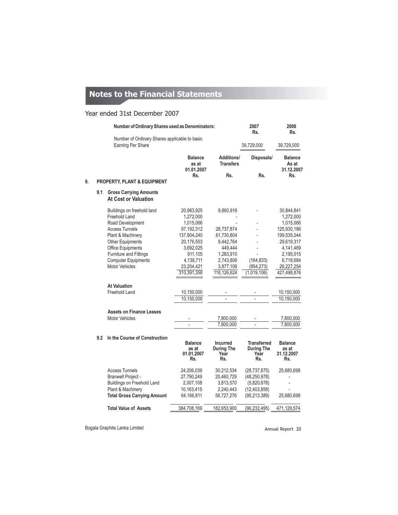## Year ended 31st December 2007

|    | Number of Ordinary Shares used as Denominators: |                                                                    |                                              | 2007<br>Rs.                                         | 2006<br>Rs.                                            |                                              |
|----|-------------------------------------------------|--------------------------------------------------------------------|----------------------------------------------|-----------------------------------------------------|--------------------------------------------------------|----------------------------------------------|
|    |                                                 | Number of Ordinary Shares applicable to basic<br>Earning Per Share |                                              |                                                     | 39,729,000                                             | 39,729,000                                   |
|    |                                                 |                                                                    | <b>Balance</b><br>as at<br>01.01.2007        | Additions/<br><b>Transfers</b>                      | Disposals/                                             | <b>Balance</b><br>As at<br>31.12.2007        |
| 9. |                                                 | <b>PROPERTY, PLANT &amp; EQUIPMENT</b>                             | Rs.                                          | Rs.                                                 | Rs.                                                    | Rs.                                          |
|    | 9.1                                             | <b>Gross Carrying Amounts</b><br><b>At Cost or Valuation</b>       |                                              |                                                     |                                                        |                                              |
|    |                                                 | Buildings on freehold land                                         | 20,983,925                                   | 9,860,916                                           |                                                        | 30,844,841                                   |
|    |                                                 | Freehold Land                                                      | 1,272,000                                    |                                                     |                                                        | 1,272,000                                    |
|    |                                                 | Road Development                                                   | 1,015,066                                    |                                                     |                                                        | 1,015,066                                    |
|    |                                                 | <b>Access Tunnels</b>                                              | 97,192,312                                   | 28,737,874                                          |                                                        | 125,930,186                                  |
|    |                                                 | Plant & Machinery                                                  | 137,804,240                                  | 61,730,804                                          |                                                        | 199,535,044                                  |
|    |                                                 | Other Equipments                                                   | 20,176,553                                   | 9,442,764                                           |                                                        | 29,619,317                                   |
|    |                                                 | Office Equipments                                                  | 3,692,025                                    | 449,444                                             |                                                        | 4,141,469                                    |
|    |                                                 | Furniture and Fittings                                             | 911,105                                      | 1,283,910                                           |                                                        | 2,195,015                                    |
|    |                                                 | <b>Computer Equipments</b>                                         | 4,139,711                                    | 2,743,806                                           | (164, 833)                                             | 6,718,684                                    |
|    |                                                 | <b>Motor Vehicles</b>                                              | 23,204,421                                   | 3,877,106                                           | (854, 273)                                             | 26,227,254                                   |
|    |                                                 |                                                                    | 310,391,358                                  | 118,126,624                                         | (1,019,106)                                            | 427,498,876                                  |
|    |                                                 | <b>At Valuation</b>                                                |                                              |                                                     |                                                        |                                              |
|    |                                                 | <b>Freehold Land</b>                                               | 10,150,000                                   |                                                     |                                                        | 10,150,000                                   |
|    |                                                 |                                                                    | 10,150,000                                   |                                                     |                                                        | 10,150,000                                   |
|    |                                                 | <b>Assets on Finance Leases</b>                                    |                                              |                                                     |                                                        |                                              |
|    |                                                 | <b>Motor Vehicles</b>                                              |                                              | 7,800,000                                           |                                                        | 7,800,000                                    |
|    |                                                 |                                                                    |                                              | 7,800,000                                           |                                                        | 7,800,000                                    |
|    | 9.2                                             | In the Course of Construction                                      |                                              |                                                     |                                                        |                                              |
|    |                                                 |                                                                    | <b>Balance</b><br>as at<br>01.01.2007<br>Rs. | <b>Incurred</b><br><b>During The</b><br>Year<br>Rs. | <b>Transferred</b><br><b>During The</b><br>Year<br>Rs. | <b>Balance</b><br>as at<br>31.12.2007<br>Rs. |
|    |                                                 | <b>Access Tunnels</b>                                              | 24,206,039                                   | 30,212,534                                          | (28, 737, 875)                                         | 25,680,698                                   |
|    |                                                 | <b>Branwell Project -</b>                                          | 27,790,249                                   | 20,460,729                                          | (48, 250, 978)                                         |                                              |
|    |                                                 | Buildings on Freehold Land                                         | 2,007,108                                    | 3,813,570                                           | (5,820,678)                                            |                                              |
|    |                                                 | Plant & Machinery                                                  | 10,163,415                                   | 2,240,443                                           | (12, 403, 858)                                         |                                              |
|    |                                                 | <b>Total Gross Carrying Amount</b>                                 | 64,166,811                                   | 56,727,276                                          | (95, 213, 389)                                         | 25,680,698                                   |
|    |                                                 | <b>Total Value of Assets</b>                                       | 384,708,169                                  | 182,653,900                                         | (96, 232, 495)                                         | 471,129,574                                  |
|    |                                                 |                                                                    |                                              |                                                     |                                                        |                                              |

Bogala Graphite Lanka Limited **Annual Report 20**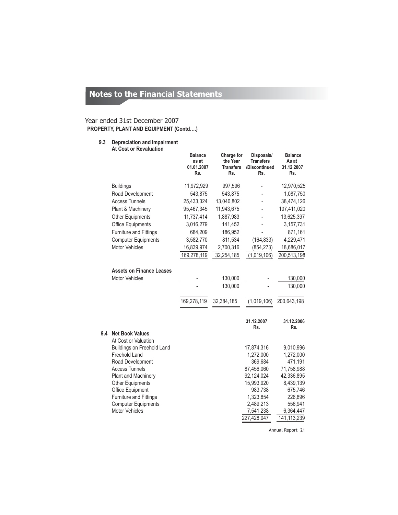## **PROPERTY, PLANT AND EQUIPMENT (Contd….)** Year ended 31st December 2007

## **9.3 Depreciation and Impairment At Cost or Revaluation**

|     |                                                                                               | <b>Balance</b><br>as at<br>01.01.2007<br>Rs. | Charge for<br>the Year<br><b>Transfers</b><br>Rs. | Disposals/<br><b>Transfers</b><br>/Discontinued<br>Rs. | <b>Balance</b><br>As at<br>31.12.2007<br>Rs. |
|-----|-----------------------------------------------------------------------------------------------|----------------------------------------------|---------------------------------------------------|--------------------------------------------------------|----------------------------------------------|
|     | <b>Buildings</b>                                                                              | 11,972,929                                   | 997,596                                           |                                                        | 12,970,525                                   |
|     | Road Development                                                                              | 543,875                                      | 543,875                                           |                                                        | 1,087,750                                    |
|     | <b>Access Tunnels</b>                                                                         | 25,433,324                                   | 13,040,802                                        |                                                        | 38,474,126                                   |
|     | Plant & Machinery                                                                             | 95,467,345                                   | 11,943,675                                        |                                                        | 107,411,020                                  |
|     | Other Equipments                                                                              | 11,737,414                                   | 1,887,983                                         |                                                        | 13,625,397                                   |
|     | <b>Office Equipments</b>                                                                      | 3,016,279                                    | 141,452                                           |                                                        | 3,157,731                                    |
|     | Furniture and Fittings                                                                        | 684,209                                      | 186,952                                           |                                                        | 871,161                                      |
|     | <b>Computer Equipments</b>                                                                    | 3,582,770                                    | 811,534                                           | (164, 833)                                             | 4,229,471                                    |
|     | <b>Motor Vehicles</b>                                                                         | 16,839,974                                   | 2,700,316                                         | (854,273)                                              | 18,686,017                                   |
|     |                                                                                               | 169,278,119                                  | 32,254,185                                        | (1,019,106)                                            | 200,513,198                                  |
|     | <b>Assets on Finance Leases</b><br><b>Motor Vehicles</b>                                      |                                              | 130,000<br>130,000                                |                                                        | 130,000<br>130,000                           |
|     |                                                                                               | 169,278,119                                  | 32,384,185                                        | (1,019,106)<br>31.12.2007                              | 200,643,198<br>31.12.2006                    |
| 9.4 | <b>Net Book Values</b><br>At Cost or Valuation<br>Buildings on Freehold Land<br>Freehold Land |                                              |                                                   | Rs.<br>17,874,316<br>1,272,000                         | Rs.<br>9,010,996<br>1,272,000                |
|     | Road Development                                                                              |                                              |                                                   | 369,684                                                | 471,191                                      |
|     | <b>Access Tunnels</b>                                                                         |                                              |                                                   | 87,456,060                                             | 71,758,988                                   |
|     | Plant and Machinery                                                                           |                                              |                                                   | 92,124,024                                             | 42,336,895                                   |
|     | <b>Other Equipments</b>                                                                       |                                              |                                                   | 15,993,920                                             | 8,439,139                                    |
|     | Office Equipment                                                                              |                                              |                                                   | 983,738                                                | 675,746                                      |
|     | Furniture and Fittings                                                                        |                                              |                                                   | 1,323,854                                              | 226,896                                      |
|     | <b>Computer Equipments</b>                                                                    |                                              |                                                   | 2,489,213                                              | 556,941                                      |
|     | <b>Motor Vehicles</b>                                                                         |                                              |                                                   | 7,541,238                                              | 6,364,447                                    |
|     |                                                                                               |                                              |                                                   | 227,428,047                                            | 141, 113, 239                                |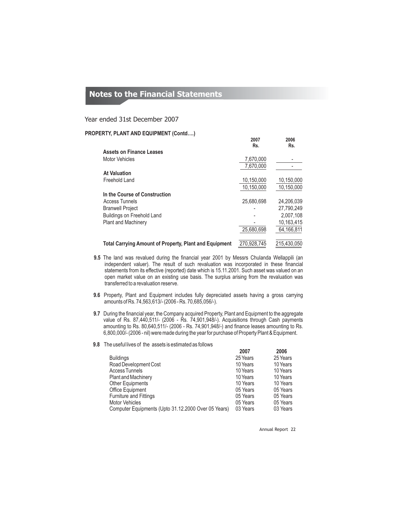## Year ended 31st December 2007

## **PROPERTY, PLANT AND EQUIPMENT (Contd….)**

|                                                               | Rs.         | Rs.         |
|---------------------------------------------------------------|-------------|-------------|
| <b>Assets on Finance Leases</b>                               |             |             |
| <b>Motor Vehicles</b>                                         | 7,670,000   |             |
|                                                               | 7.670.000   |             |
| <b>At Valuation</b>                                           |             |             |
| Freehold Land                                                 | 10.150.000  | 10,150,000  |
|                                                               | 10.150.000  | 10,150,000  |
| In the Course of Construction                                 |             |             |
| <b>Access Tunnels</b>                                         | 25.680.698  | 24.206.039  |
| <b>Branwell Project</b>                                       |             | 27.790.249  |
| Buildings on Freehold Land                                    |             | 2.007.108   |
| <b>Plant and Machinery</b>                                    |             | 10.163.415  |
|                                                               | 25.680.698  | 64,166,811  |
| <b>Total Carrying Amount of Property, Plant and Equipment</b> | 270,928,745 | 215.430.050 |

- **9.5** The land was revalued during the financial year 2001 by Messrs Chulanda Wellappili (an independent valuer). The result of such revaluation was incorporated in these financial statements from its effective (reported) date which is 15.11.2001. Such asset was valued on an open market value on an existing use basis. The surplus arising from the revaluation was transferred to a revaluation reserve.
- **9.6** Property, Plant and Equipment includes fully depreciated assets having a gross carrying amounts of Rs. 74,563,613/- (2006 - Rs. 70,685,056/-).
- **9.7** During the financial year, the Company acquired Property, Plant and Equipment to the aggregate value of Rs. 87,440,511/- (2006 - Rs. 74,901,948/-). Acquisitions through Cash payments amounting to Rs. 80,640,511/- (2006 - Rs. 74,901,948/-) and finance leases amounting to Rs. 6,800,000/- (2006 - nil) were made during the year for purchase of Property Plant & Equipment.
- **9.8** The useful lives of the assets is estimated as follows

|                                                     | 2007     | 2006     |
|-----------------------------------------------------|----------|----------|
| <b>Buildings</b>                                    | 25 Years | 25 Years |
| Road Development Cost                               | 10 Years | 10 Years |
| <b>Access Tunnels</b>                               | 10 Years | 10 Years |
| <b>Plant and Machinery</b>                          | 10 Years | 10 Years |
| Other Equipments                                    | 10 Years | 10 Years |
| Office Equipment                                    | 05 Years | 05 Years |
| <b>Furniture and Fittings</b>                       | 05 Years | 05 Years |
| <b>Motor Vehicles</b>                               | 05 Years | 05 Years |
| Computer Equipments (Upto 31.12.2000 Over 05 Years) | 03 Years | 03 Years |

Annual Report 22

**2007 2006**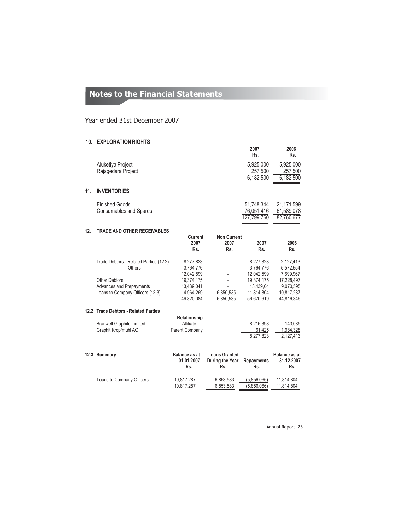## Year ended 31st December 2007

## **10. EXPLORATION RIGHTS**

|     |                                                          |                             |                      | 2007<br>Rs.               | 2006<br>Rs.              |
|-----|----------------------------------------------------------|-----------------------------|----------------------|---------------------------|--------------------------|
|     | Aluketiya Project<br>Rajagedara Project                  |                             |                      | 5,925,000<br>257,500      | 5,925,000<br>257,500     |
|     |                                                          |                             |                      | 6,182,500                 | 6,182,500                |
| 11. | <b>INVENTORIES</b>                                       |                             |                      |                           |                          |
|     | <b>Finished Goods</b>                                    |                             |                      | 51,748,344                | 21,171,599               |
|     | <b>Consumables and Spares</b>                            |                             |                      | 76,051,416<br>127.799.760 | 61,589,078<br>82,760,677 |
| 12. | <b>TRADE AND OTHER RECEIVABLES</b>                       |                             |                      |                           |                          |
|     |                                                          | <b>Current</b>              | <b>Non Current</b>   |                           |                          |
|     |                                                          | 2007<br>Rs.                 | 2007<br>Rs.          | 2007<br>Rs.               | 2006<br>Rs.              |
|     | Trade Debtors - Related Parties (12.2)                   | 8,277,823                   |                      | 8,277,823                 | 2,127,413                |
|     | - Others                                                 | 3,764,776<br>12,042,599     |                      | 3,764,776<br>12,042,599   | 5,572,554<br>7,699,967   |
|     | <b>Other Debtors</b>                                     | 19,374,175                  |                      | 19,374,175                | 17,228,497               |
|     | <b>Advances and Prepayments</b>                          | 13,439,041                  |                      | 13,439,04                 | 9,070,595                |
|     | Loans to Company Officers (12.3)                         | 4,964,269                   | 6,850,535            | 11,814,804                | 10,817,287               |
|     |                                                          | 49,820,084                  | 6,850,535            | 56,670,619                | 44,816,346               |
|     | 12.2 Trade Debtors - Related Parties                     |                             |                      |                           |                          |
|     |                                                          | Relationship                |                      |                           |                          |
|     | <b>Branwell Graphite Limited</b><br>Graphit Kropfmuhl AG | Affiliate<br>Parent Company |                      | 8,216,398<br>61,425       | 143,085<br>1,984,328     |
|     |                                                          |                             |                      | 8,277,823                 | 2,127,413                |
|     |                                                          |                             |                      |                           |                          |
|     | 12.3 Summary                                             | <b>Balance as at</b>        | <b>Loans Granted</b> |                           | <b>Balance as at</b>     |
|     |                                                          | 01.01.2007                  | During the Year      | <b>Repayments</b>         | 31.12.2007               |
|     |                                                          | Rs.                         | Rs.                  | Rs.                       | Rs.                      |
|     | Loans to Company Officers                                | 10,817,287                  | 6,853,583            | (5,856,066)               | 11,814,804               |
|     |                                                          | 10.817.287                  | 6,853,583            | (5,856,066)               | 11,814,804               |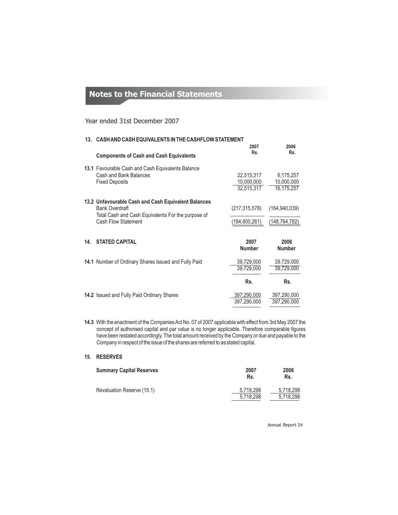## Year ended 31st December 2007

|     | 13. CASH AND CASH EQUIVALENTS IN THE CASHFLOW STATEMENT                     |                          |                         |  |  |
|-----|-----------------------------------------------------------------------------|--------------------------|-------------------------|--|--|
|     |                                                                             | 2007                     | 2006                    |  |  |
|     | <b>Components of Cash and Cash Equivalents</b>                              | Rs.                      | Rs.                     |  |  |
|     | 13.1 Favourable Cash and Cash Equivalents Balance                           |                          |                         |  |  |
|     | Cash and Bank Balances<br><b>Fixed Deposits</b>                             | 22,515,317<br>10,000,000 | 6,175,257<br>10,000,000 |  |  |
|     |                                                                             | 32,515,317               | 16,175,257              |  |  |
|     | 13.2 Unfavourable Cash and Cash Equivalent Balances                         |                          |                         |  |  |
|     | <b>Bank Overdraft</b><br>Total Cash and Cash Equivalents For the purpose of | (217, 315, 578)          | (164, 940, 039)         |  |  |
|     | Cash Flow Statement                                                         | (184,800,261)            | (148, 764, 782)         |  |  |
|     |                                                                             |                          |                         |  |  |
| 14. | <b>STATED CAPITAL</b>                                                       | 2007<br><b>Number</b>    | 2006<br><b>Number</b>   |  |  |
|     | 14.1 Number of Ordinary Shares Issued and Fully Paid                        | 39,729,000               | 39,729,000              |  |  |
|     |                                                                             | 39,729,000               | 39,729,000              |  |  |
|     |                                                                             | Rs.                      | Rs.                     |  |  |
|     | <b>14.2</b> Issued and Fully Paid Ordinary Shares                           | 397,290,000              | 397,290,000             |  |  |
|     |                                                                             | 397.290.000              | 397,290,000             |  |  |

**14.3** With the enactment of the Companies Act No. 07 of 2007 applicable with effect from 3rd May 2007 the concept of authorised capital and par value is no longer applicable. Therefore comparable figures have been restated accordingly. The total amount received by the Company or due and payable to the Company in respect of the issue of the shares are referred to as stated capital.

## **15. RESERVES**

| <b>Summary Capital Reserves</b> | 2007<br>Rs.            | 2006<br>Rs.            |
|---------------------------------|------------------------|------------------------|
| Revaluation Reserve (15.1)      | 5,718,298<br>5,718,298 | 5.718.298<br>5.718.298 |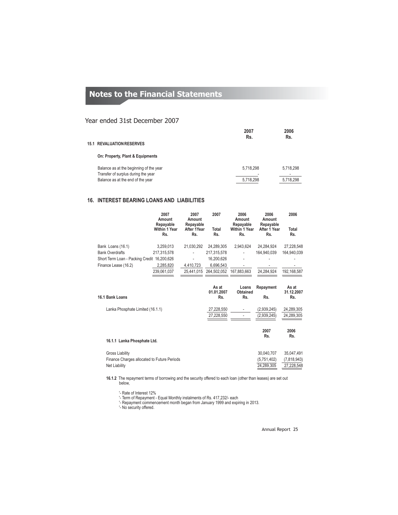## Year ended 31st December 2007

|                                                                                | 2007<br>Rs. | 2006<br>Rs. |
|--------------------------------------------------------------------------------|-------------|-------------|
| <b>15.1 REVALUATION RESERVES</b>                                               |             |             |
| On: Property, Plant & Equipments                                               |             |             |
| Balance as at the beginning of the year<br>Transfer of surplus during the year | 5,718,298   | 5,718,298   |
| Balance as at the end of the year                                              | 5.718.298   | 5.718.298   |

## **16. INTEREST BEARING LOANS AND LIABILITIES**

|                                             | 2007<br>Amount<br>Repayable<br><b>Within 1 Year</b> | 2007<br>Amount<br>Repayable<br>After 1Year | 2007<br>Total              | 2006<br>Amount<br>Repayable<br><b>Within 1 Year</b> | 2006<br>Amount<br>Repayable<br>After 1 Year | 2006<br>Total              |
|---------------------------------------------|-----------------------------------------------------|--------------------------------------------|----------------------------|-----------------------------------------------------|---------------------------------------------|----------------------------|
|                                             | Rs.                                                 | Rs.                                        | Rs.                        | Rs.                                                 | Rs.                                         | Rs.                        |
| Bank Loans (16.1)                           | 3,259,013                                           | 21,030,292                                 | 24,289,305                 | 2,943,624                                           | 24,284,924                                  | 27,228,548                 |
| <b>Bank Overdrafts</b>                      | 217,315,578                                         |                                            | 217,315,578                |                                                     | 164.940.039                                 | 164,940,039                |
| Short Term Loan - Packing Credit 16,200,626 |                                                     |                                            | 16,200,626                 |                                                     |                                             |                            |
| Finance Lease (16.2)                        | 2,285,820                                           | 4,410,723                                  | 6.696.543                  |                                                     |                                             |                            |
|                                             | 239,061,037                                         |                                            | 25,441,015 264,502,052     | 167.883.663                                         | 24,284,924                                  | 192,168,587                |
| 16.1 Bank Loans                             |                                                     |                                            | As at<br>01.01.2007<br>Rs. | Loans<br>Obtained<br>Rs.                            | Repayment<br>Rs.                            | As at<br>31.12.2007<br>Rs. |
| Lanka Phosphate Limited (16.1.1)            |                                                     |                                            | 27,228,550                 |                                                     | (2,939,245)                                 | 24,289,305                 |
|                                             |                                                     |                                            | 27,228,550                 |                                                     | (2,939,245)                                 | 24,289,305                 |
|                                             |                                                     |                                            |                            |                                                     | 2007<br>Rs.                                 | 2006<br>Rs.                |
| 16.1.1 Lanka Phosphate Ltd.                 |                                                     |                                            |                            |                                                     |                                             |                            |
| <b>Gross Liability</b>                      |                                                     |                                            |                            |                                                     | 30,040,707                                  | 35,047,491                 |
| Finance Charges allocated to Future Periods |                                                     |                                            |                            |                                                     | (5,751,402)                                 | (7,818,943)                |
| <b>Net Liability</b>                        |                                                     |                                            |                            |                                                     | 24,289,305                                  | 27,228,548                 |

**16.1.2** The repayment terms of borrowing and the security offered to each loan (other than leases) are set out below,

'- Rate of Interest 12% '- Term of Repayment - Equal Monthly instalments of Rs. 417,232/- each '- Repayment commencement month began from January 1999 and expiring in 2013. '- No security offered.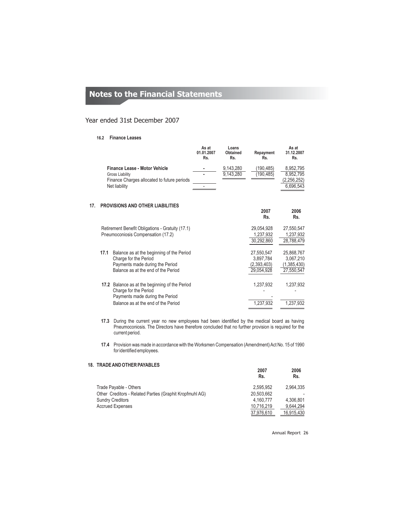## Year ended 31st December 2007

#### **16.2 Finance Leases**

|                                             | As at<br>01.01.2007<br>Rs. | Loans<br><b>Obtained</b><br>Rs. | Repayment<br>Rs. | As at<br>31.12.2007<br>Rs. |
|---------------------------------------------|----------------------------|---------------------------------|------------------|----------------------------|
| <b>Finance Lease - Motor Vehicle</b>        | ٠                          | 9.143.280                       | (190.485)        | 8.952.795                  |
| Gross Liability                             | ٠                          | 9.143.280                       | (190.485)        | 8.952.795                  |
| Finance Charges allocated to future periods |                            |                                 |                  | (2.256.252)                |
| Net liability                               |                            |                                 |                  | 6.696.543                  |

## **17. PROVISIONS AND OTHER LIABILITIES**

|      |                                                                                                                                                   | zuu r<br>Rs.                                         | zuuu<br>Rs.                                          |
|------|---------------------------------------------------------------------------------------------------------------------------------------------------|------------------------------------------------------|------------------------------------------------------|
|      | Retirement Benefit Obligations - Gratuity (17.1)                                                                                                  | 29.054.928                                           | 27,550,547                                           |
|      | Pneumoconiosis Compensation (17.2)                                                                                                                | 1,237,932                                            | 1,237,932                                            |
|      |                                                                                                                                                   | 30.292.860                                           | 28,788,479                                           |
| 17.1 | Balance as at the beginning of the Period<br>Charge for the Period<br>Payments made during the Period<br>Balance as at the end of the Period      | 27.550.547<br>3.897.784<br>(2,393,403)<br>29.054.928 | 25.868.767<br>3.067.210<br>(1,385,430)<br>27,550,547 |
|      | 17.2 Balance as at the beginning of the Period<br>Charge for the Period<br>Payments made during the Period<br>Balance as at the end of the Period | 1.237.932<br>1,237,932                               | 1,237,932<br>1.237.932                               |
|      |                                                                                                                                                   |                                                      |                                                      |

**17.3** During the current year no new employees had been identified by the medical board as having Pneumoconiosis. The Directors have therefore concluded that no further provision is required for the current period.

**17.4** Provision was made in accordance with the Worksmen Compensation (Amendment) Act No. 15 of 1990 for identified employees.

## **18. TRADEAND OTHER PAYABLES**

|                                                          | 2007<br>Rs. | 2006<br>Rs. |
|----------------------------------------------------------|-------------|-------------|
| Trade Payable - Others                                   | 2.595.952   | 2.964.335   |
| Other Creditors - Related Parties (Graphit Kropfmuhl AG) | 20,503,662  |             |
| <b>Sundry Creditors</b>                                  | 4.160.777   | 4.306.801   |
| <b>Accrued Expenses</b>                                  | 10,716,219  | 9.644.294   |
|                                                          | 37,976,610  | 16,915,430  |

Annual Report 26

**2007 2006**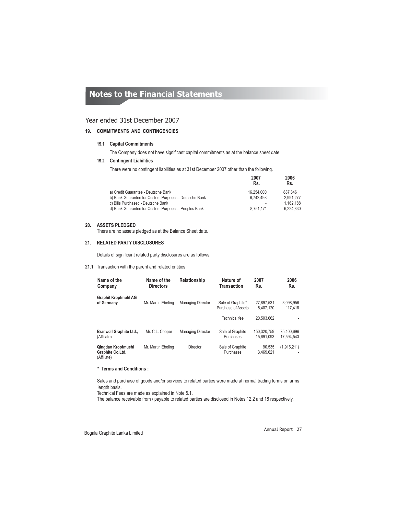## Year ended 31st December 2007

## **19. COMMITMENTS AND CONTINGENCIES**

#### **Capital Commitments 19.1**

The Company does not have significant capital commitments as at the balance sheet date.

#### **Contingent Liabilities 19.2**

There were no contingent liabilities as at 31st December 2007 other than the following.

|                                                       | 2007<br>Rs. | 2006<br>Rs. |
|-------------------------------------------------------|-------------|-------------|
| a) Credit Guarantee - Deutsche Bank                   | 16.254.000  | 887.346     |
| b) Bank Guarantee for Custom Purposes - Deutsche Bank | 6.742.498   | 2.991.277   |
| c) Bills Purchased - Deutsche Bank                    | ٠           | 1.162.188   |
| d) Bank Guarantee for Custom Purposes - Peoples Bank  | 8.751.171   | 6.224.830   |

## **20. ASSETS PLEDGED**

There are no assets pledged as at the Balance Sheet date.

## **21. RELATED PARTY DISCLOSURES**

Details of significant related party disclosures are as follows:

#### **21.1** Transaction with the parent and related entities

| Name of the<br>Company                                | Name of the<br><b>Directors</b> | Relationship             | Nature of<br><b>Transaction</b>         | 2007<br>Rs.               | 2006<br>Rs.              |
|-------------------------------------------------------|---------------------------------|--------------------------|-----------------------------------------|---------------------------|--------------------------|
| <b>Graphit Kropfmuhl AG</b><br>of Germany             | Mr. Martin Ebeling              | <b>Managing Director</b> | Sale of Graphite*<br>Purchase of Assets | 27.897.531<br>5.407.120   | 3.098.956<br>117.418     |
|                                                       |                                 |                          | Technical fee                           | 20.503.662                |                          |
| <b>Branwell Graphite Ltd.,</b><br>(Affiliate)         | Mr. C.L. Cooper                 | <b>Managing Director</b> | Sale of Graphite<br>Purchases           | 150.320.759<br>15.691.093 | 75.400.696<br>17.594.543 |
| Qingdao Kropfmuehl<br>Graphite Co.Ltd.<br>(Affiliate) | Mr. Martin Ebeling              | Director                 | Sale of Graphite<br>Purchases           | 90.535<br>3.469.621       | (1,916,211)              |

### **\* Terms and Conditions :**

Sales and purchase of goods and/or services to related parties were made at normal trading terms on arms length basis.

Technical Fees are made as explained in Note 5.1.

The balance receivable from / payable to related parties are disclosed in Notes 12.2 and 18 respectively.

Bogala Graphite Lanka Limited Annual Report 27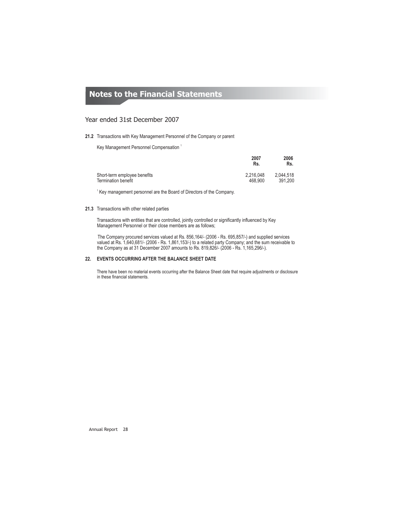## Year ended 31st December 2007

#### **21.2** Transactions with Key Management Personnel of the Company or parent

Key Management Personnel Compensation 1

|                              | <b>LUVI</b><br>Rs. | ZUUU<br>Rs. |
|------------------------------|--------------------|-------------|
| Short-term employee benefits | 2.216.048          | 2.044.518   |
| <b>Termination benefit</b>   | 468.900            | 391.200     |

**2007 2006**

 $1$  Key management personnel are the Board of Directors of the Company.

#### **21.3** Transactions with other related parties

Transactions with entities that are controlled, jointly controlled or significantly influenced by Key Management Personnel or their close members are as follows;

The Company procured services valued at Rs. 856,164/- (2006 - Rs. 695,857/-) and supplied services valued at Rs. 1,640,681/- (2006 - Rs. 1,861,153/-) to a related party Company; and the sum receivable to the Company as at 31 December 2007 amounts to Rs. 819,826/- (2006 - Rs. 1,165,296/-).

#### **22. EVENTS OCCURRING AFTER THE BALANCE SHEET DATE**

There have been no material events occurring after the Balance Sheet date that require adjustments or disclosure in these financial statements.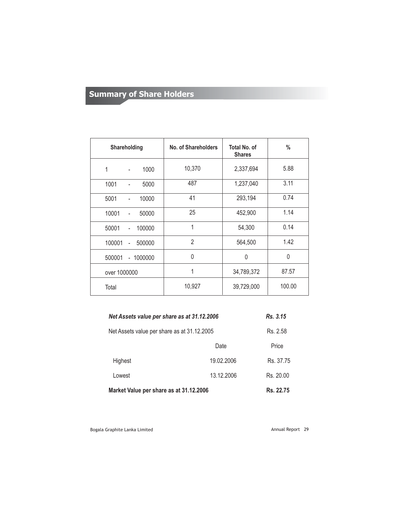## **Summary of Share Holders Summary of Share Holders**

| <b>Shareholding</b>                         | No. of Shareholders | Total No. of<br><b>Shares</b> | $\%$         |
|---------------------------------------------|---------------------|-------------------------------|--------------|
| 1<br>1000<br>$\blacksquare$                 | 10,370              | 2,337,694                     | 5.88         |
| 1001<br>5000<br>۳                           | 487                 | 1,237,040                     | 3.11         |
| 5001<br>10000<br>-                          | 41                  | 293,194                       | 0.74         |
| 10001<br>50000<br>$\overline{\phantom{0}}$  | 25                  | 452,900                       | 1.14         |
| 50001<br>100000<br>$\overline{\phantom{0}}$ | 1                   | 54,300                        | 0.14         |
| 100001<br>500000<br>$\overline{a}$          | $\overline{2}$      | 564,500                       | 1.42         |
| 500001<br>$-1000000$                        | $\mathbf{0}$        | $\Omega$                      | $\mathbf{0}$ |
| over 1000000                                | 1                   | 34,789,372                    | 87.57        |
| Total                                       | 10,927              | 39,729,000                    | 100.00       |

| Net Assets value per share as at 31.12.2006          |            | Rs. 3.15  |
|------------------------------------------------------|------------|-----------|
| Net Assets value per share as at 31.12.2005          |            | Rs. 2.58  |
|                                                      | Date       | Price     |
| Highest                                              | 19.02.2006 | Rs. 37.75 |
| Lowest                                               | 13.12.2006 | Rs. 20.00 |
| Market Value per share as at 31.12.2006<br>Rs. 22.75 |            |           |

Bogala Graphite Lanka Limited **Annual Report 29** Annual Report 29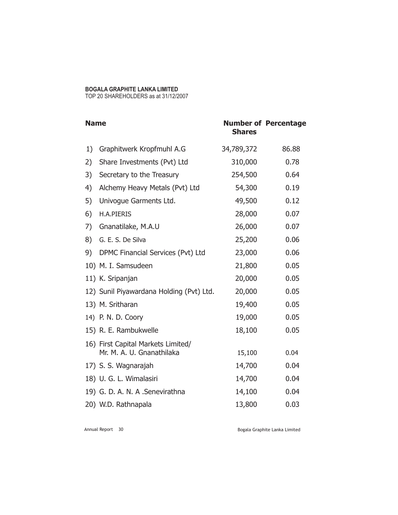## **BOGALA GRAPHITE LANKA LIMITED**

TOP 20 SHAREHOLDERS as at 31/12/2007

| <b>Name</b> |                                                                 | <b>Shares</b> | <b>Number of Percentage</b> |
|-------------|-----------------------------------------------------------------|---------------|-----------------------------|
| 1)          | Graphitwerk Kropfmuhl A.G                                       | 34,789,372    | 86.88                       |
| 2)          | Share Investments (Pvt) Ltd                                     | 310,000       | 0.78                        |
| 3)          | Secretary to the Treasury                                       | 254,500       | 0.64                        |
| 4)          | Alchemy Heavy Metals (Pvt) Ltd                                  | 54,300        | 0.19                        |
| 5)          | Univogue Garments Ltd.                                          | 49,500        | 0.12                        |
| 6)          | <b>H.A.PIERIS</b>                                               | 28,000        | 0.07                        |
| 7)          | Gnanatilake, M.A.U                                              | 26,000        | 0.07                        |
| 8)          | G. E. S. De Silva                                               | 25,200        | 0.06                        |
| 9)          | DPMC Financial Services (Pvt) Ltd                               | 23,000        | 0.06                        |
|             | 10) M. I. Samsudeen                                             | 21,800        | 0.05                        |
|             | 11) K. Sripanjan                                                | 20,000        | 0.05                        |
|             | 12) Sunil Piyawardana Holding (Pvt) Ltd.                        | 20,000        | 0.05                        |
|             | 13) M. Sritharan                                                | 19,400        | 0.05                        |
|             | 14) P. N. D. Coory                                              | 19,000        | 0.05                        |
|             | 15) R. E. Rambukwelle                                           | 18,100        | 0.05                        |
|             | 16) First Capital Markets Limited/<br>Mr. M. A. U. Gnanathilaka | 15,100        | 0.04                        |
|             | 17) S. S. Wagnarajah                                            | 14,700        | 0.04                        |
|             | 18) U. G. L. Wimalasiri                                         | 14,700        | 0.04                        |
|             | 19) G. D. A. N. A . Senevirathna                                | 14,100        | 0.04                        |
|             | 20) W.D. Rathnapala                                             | 13,800        | 0.03                        |

Annual Report 30

Bogala Graphite Lanka Limited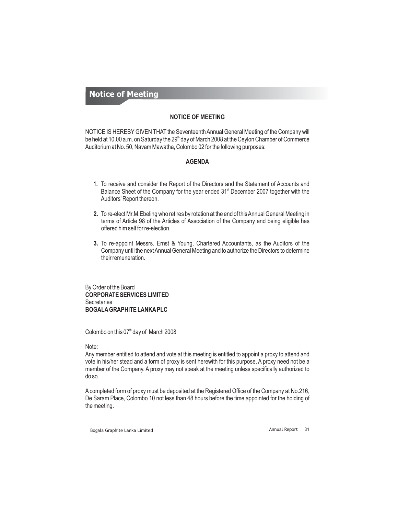## **Notice of Meeting**

## **NOTICE OF MEETING**

NOTICE IS HEREBY GIVEN THAT the Seventeenth Annual General Meeting of the Company will be held at 10.00 a.m. on Saturday the 29 $^{\text{\tiny th}}$  day of March 2008 at the Ceylon Chamber of Commerce Auditorium at No. 50, Navam Mawatha, Colombo 02 for the following purposes:

## **AGENDA**

- **1.** To receive and consider the Report of the Directors and the Statement of Accounts and Balance Sheet of the Company for the year ended 31<sup>st</sup> December 2007 together with the Auditors' Report thereon.
- **2.** To re-elect Mr.M.Ebeling who retires by rotation at the end of thisAnnual General Meeting in terms of Article 98 of the Articles of Association of the Company and being eligible has offered him self for re-election.
- **3.** To re-appoint Messrs. Ernst & Young, Chartered Accountants, as the Auditors of the Company until the nextAnnual General Meeting and to authorize the Directors to determine their remuneration.

**CORPORATE SERVICES LIMITED BOGALAGRAPHITE LANKAPLC** By Order of the Board **Secretaries** 

Colombo on this  $07<sup>th</sup>$  day of March 2008

## Note:

Any member entitled to attend and vote at this meeting is entitled to appoint a proxy to attend and vote in his/her stead and a form of proxy is sent herewith for this purpose. A proxy need not be a member of the Company. A proxy may not speak at the meeting unless specifically authorized to do so.

A completed form of proxy must be deposited at the Registered Office of the Company at No.216, De Saram Place, Colombo 10 not less than 48 hours before the time appointed for the holding of the meeting.

Bogala Graphite Lanka Limited **Annual Report** 31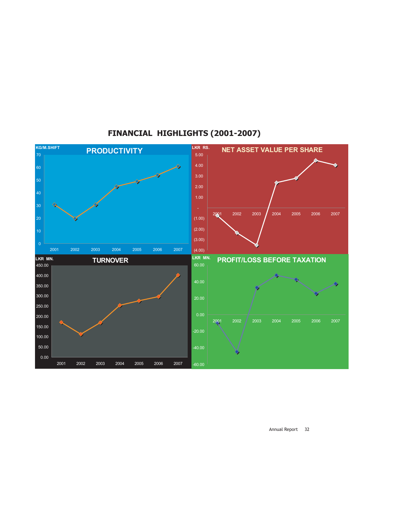

## **FINANCIAL HIGHLIGHTS (2001-2007)**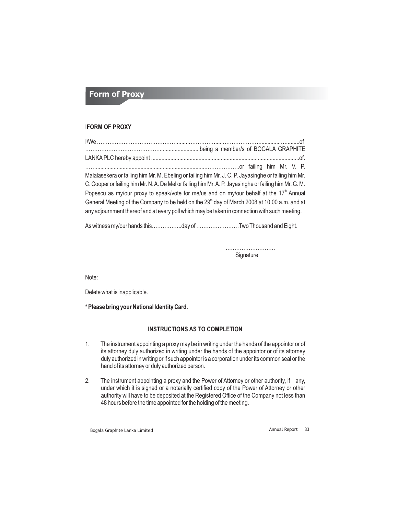## **Form of Proxy**

## I**FORM OF PROXY**

| Malalasekera or failing him Mr. M. Ebeling or failing him Mr. J. C. P. Jayasinghe or failing him Mr.                                                                                                      |
|-----------------------------------------------------------------------------------------------------------------------------------------------------------------------------------------------------------|
| C. Cooper or failing him Mr. N. A. De Mel or failing him Mr. A. P. Jayasinghe or failing him Mr. G. M.                                                                                                    |
| Popescu as my/our proxy to speak/vote for me/us and on my/our behalf at the 17 <sup>th</sup> Annual                                                                                                       |
| General Meeting of the Company to be held on the 29 <sup>th</sup> day of March 2008 at 10.00 a.m. and at<br>any adjournment thereof and at every poll which may be taken in connection with such meeting. |
|                                                                                                                                                                                                           |

As witness my/our hands this……………..day of ……………………Two Thousand and Eight.

………………………. **Signature** 

Note:

Delete what is inapplicable.

**\* Please bring your National Identity Card.**

## **INSTRUCTIONS AS TO COMPLETION**

- 1. The instrument appointing a proxy may be in writing under the hands of the appointor or of its attorney duly authorized in writing under the hands of the appointor or of its attorney duly authorized in writing or if such appointor is a corporation under its common seal or the hand of its attorney or duly authorized person.
- 2. The instrument appointing a proxy and the Power of Attorney or other authority, if any, under which it is signed or a notarially certified copy of the Power of Attorney or other authority will have to be deposited at the Registered Office of the Company not less than 48 hours before the time appointed for the holding of the meeting.

Bogala Graphite Lanka Limited **Annual Report 33** Annual Report 33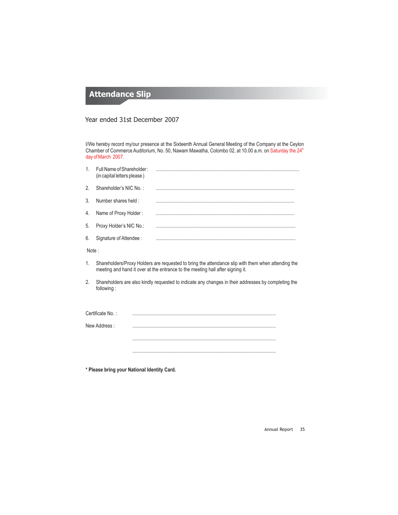## **Attendance Slip**

## Year ended 31st December 2007

I/We hereby record my/our presence at the Sixteenth Annual General Meeting of the Company at the Ceylon Chamber of Commerce Auditorium, No. 50, Nawam Mawatha, Colombo 02, at 10.00 a.m. on Saturday the 24<sup>th</sup> day of March 2007.

| 1.    | Full Name of Shareholder:<br>(in capital letters please) |                                                                                                                                                                                      |
|-------|----------------------------------------------------------|--------------------------------------------------------------------------------------------------------------------------------------------------------------------------------------|
| 2.    | Shareholder's NIC No.:                                   |                                                                                                                                                                                      |
| 3.    | Number shares held:                                      |                                                                                                                                                                                      |
| 4.    | Name of Proxy Holder:                                    |                                                                                                                                                                                      |
| 5.    | Proxy Holder's NIC No.:                                  |                                                                                                                                                                                      |
| 6.    | Signature of Attendee :                                  |                                                                                                                                                                                      |
| Note: |                                                          |                                                                                                                                                                                      |
| 1.    |                                                          | Shareholders/Proxy Holders are requested to bring the attendance slip with them when attending the<br>meeting and hand it over at the entrance to the meeting hall after signing it. |
| 2.    | following:                                               | Shareholders are also kindly requested to indicate any changes in their addresses by completing the                                                                                  |
|       |                                                          |                                                                                                                                                                                      |
|       | Certificate No.:                                         |                                                                                                                                                                                      |
|       | New Address:                                             |                                                                                                                                                                                      |
|       |                                                          |                                                                                                                                                                                      |
|       |                                                          |                                                                                                                                                                                      |

**\* Please bring your National Identity Card.**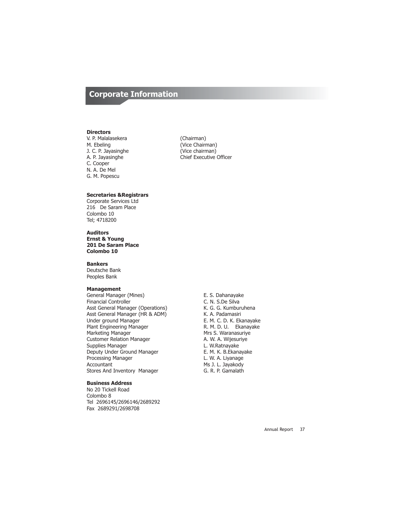## **Corporate Information**

#### **Directors**

V. P. Malalasekera (Chairman) J. C. P. Jayasinghe (Vice chairman)<br>
A. P. Jayasinghe (A. Chief Executive C. Cooper N. A. De Mel G. M. Popescu

(Vice Chairman) Chief Executive Officer

### **Secretaries &Registrars**

Corporate Services Ltd 216 De Saram Place Colombo 10 Tel; 4718200

**Auditors Ernst & Young 201 De Saram Place Colombo 10**

**Bankers**

Deutsche Bank Peoples Bank

### **Management**

General Manager (Mines) E. S. Dahanayake<br>Financial Controller examples of the C. N. S.De Silva Financial Controller (Operations) C. N. S.De Silva<br>
Asst General Manager (Operations) K. G. G. Kumburuhena Asst General Manager (Operations) K. G. G. Kumburuhenast General Manager (HR & ADM) K. A. Padamasiri Asst General Manager (HR & ADM) Under ground Manager **E. M. C. D. K. Ekanayake**<br>
Plant Engineering Manager **E. M. D. B. Ekanayake** Plant Engineering Manager<br>Marketing Manager Customer Relation Manager **A. W. A. Wijesur**<br>Supplies Manager **A. W. A. W. A. W. Ratnayake** Supplies Manager Deputy Under Ground Manager E. M. K. B.Ekanayake Processing Manager **L. W. A. Liyanage Accountant** Accountant Accountant Accountant Accountant Accountant Accountant Accountant Accountant Accountant Accountant Accountant Accountant Accountant Accountant Accountant Account Stores And Inventory Manager G. R. P. Gamalath

## **Business Address**

No 20 Tickell Road Colombo 8 Tel 2696145/2696146/2689292 Fax 2689291/2698708

Mrs S. Waranasuriye<br>A. W. A. Wijesuriye Ms J. L. Jayakody